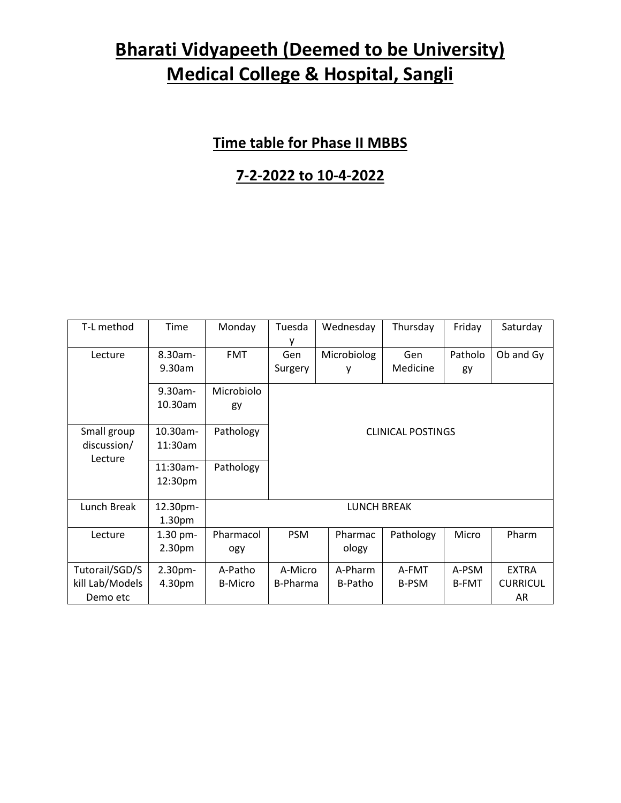#### **Time table for Phase II MBBS**

#### **7-2-2022 to 10-4-2022**

| T-L method      | <b>Time</b>                    | Monday             | Tuesda<br>۷              | Wednesday   | Thursday     | Friday       | Saturday        |  |  |
|-----------------|--------------------------------|--------------------|--------------------------|-------------|--------------|--------------|-----------------|--|--|
| Lecture         | 8.30am-                        | <b>FMT</b>         | Gen                      | Microbiolog | Gen          | Patholo      | Ob and Gy       |  |  |
|                 | 9.30am                         |                    | Surgery                  | у           | Medicine     | gy           |                 |  |  |
|                 | 9.30am-                        | Microbiolo         |                          |             |              |              |                 |  |  |
|                 | 10.30am                        | gy                 |                          |             |              |              |                 |  |  |
| Small group     | 10.30am-                       | Pathology          | <b>CLINICAL POSTINGS</b> |             |              |              |                 |  |  |
| discussion/     | 11:30am                        |                    |                          |             |              |              |                 |  |  |
| Lecture         | 11:30am-                       | Pathology          |                          |             |              |              |                 |  |  |
|                 | 12:30pm                        |                    |                          |             |              |              |                 |  |  |
| Lunch Break     | 12.30pm-<br>1.30 <sub>pm</sub> | <b>LUNCH BREAK</b> |                          |             |              |              |                 |  |  |
| Lecture         | 1.30 pm-                       | Pharmacol          | <b>PSM</b>               | Pharmac     | Pathology    | Micro        | Pharm           |  |  |
|                 | 2.30pm                         | ogy                |                          | ology       |              |              |                 |  |  |
| Tutorail/SGD/S  | 2.30pm-                        | A-Patho            | A-Micro                  | A-Pharm     | A-FMT        | A-PSM        | <b>EXTRA</b>    |  |  |
| kill Lab/Models | 4.30pm                         | <b>B-Micro</b>     | B-Pharma                 | B-Patho     | <b>B-PSM</b> | <b>B-FMT</b> | <b>CURRICUL</b> |  |  |
| Demo etc        |                                |                    |                          |             |              |              | AR              |  |  |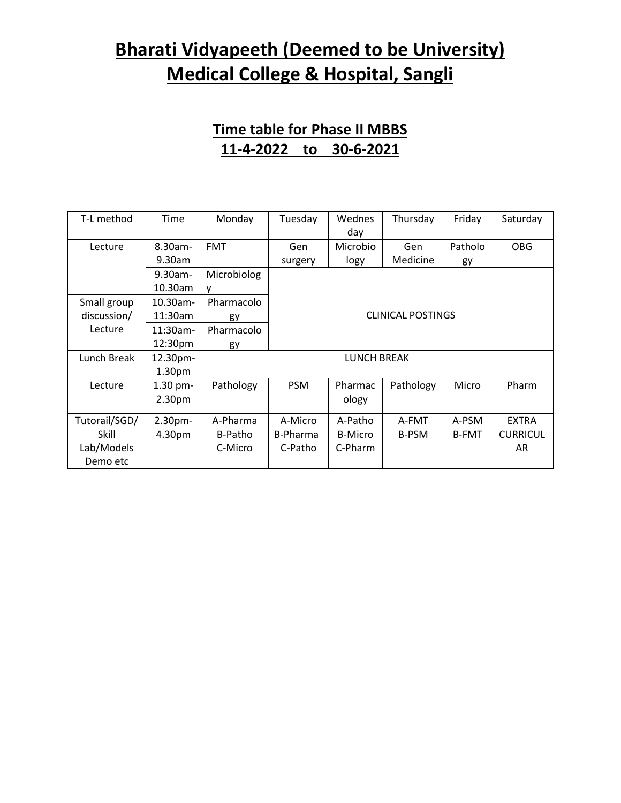#### **Time table for Phase II MBBS 11-4-2022 to 30-6-2021**

| T-L method    | Time               | Monday      | Tuesday                  | Wednes         | Thursday     | Friday       | Saturday        |  |  |
|---------------|--------------------|-------------|--------------------------|----------------|--------------|--------------|-----------------|--|--|
|               |                    |             |                          | day            |              |              |                 |  |  |
| Lecture       | $8.30$ am-         | <b>FMT</b>  | Gen                      | Microbio       | Gen          | Patholo      | <b>OBG</b>      |  |  |
|               | 9.30am             |             | surgery                  | logy           | Medicine     | gy           |                 |  |  |
|               | $9.30$ am-         | Microbiolog |                          |                |              |              |                 |  |  |
|               | 10.30am            | v           |                          |                |              |              |                 |  |  |
| Small group   | $10.30$ am-        | Pharmacolo  |                          |                |              |              |                 |  |  |
| discussion/   | 11:30am            | gy          | <b>CLINICAL POSTINGS</b> |                |              |              |                 |  |  |
| Lecture       | $11:30$ am-        | Pharmacolo  |                          |                |              |              |                 |  |  |
|               | 12:30pm            | gy          |                          |                |              |              |                 |  |  |
| Lunch Break   | 12.30pm-           | LUNCH BREAK |                          |                |              |              |                 |  |  |
|               | 1.30 <sub>pm</sub> |             |                          |                |              |              |                 |  |  |
| Lecture       | $1.30$ pm-         | Pathology   | <b>PSM</b>               | Pharmac        | Pathology    | Micro        | Pharm           |  |  |
|               | 2.30pm             |             |                          | ology          |              |              |                 |  |  |
|               |                    |             |                          |                |              |              |                 |  |  |
| Tutorail/SGD/ | 2.30 <sub>pm</sub> | A-Pharma    | A-Micro                  | A-Patho        | A-FMT        | A-PSM        | <b>EXTRA</b>    |  |  |
| Skill         | 4.30pm             | B-Patho     | B-Pharma                 | <b>B-Micro</b> | <b>B-PSM</b> | <b>B-FMT</b> | <b>CURRICUL</b> |  |  |
| Lab/Models    |                    | C-Micro     | C-Patho                  | C-Pharm        |              |              | AR              |  |  |
| Demo etc      |                    |             |                          |                |              |              |                 |  |  |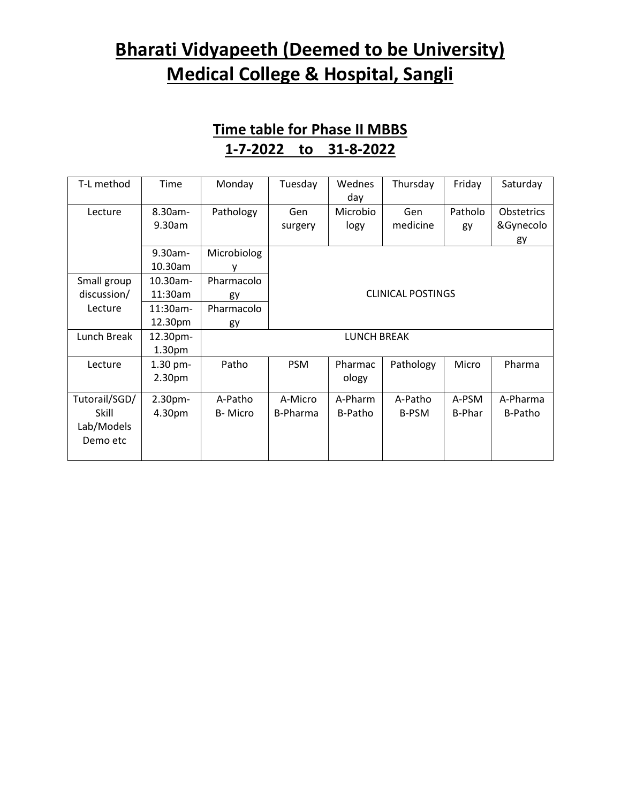#### **Time table for Phase II MBBS 1-7-2022 to 31-8-2022**

| T-L method    | Time               | Monday             | Tuesday                  | Wednes<br>day | Thursday     | Friday        | Saturday   |  |  |
|---------------|--------------------|--------------------|--------------------------|---------------|--------------|---------------|------------|--|--|
| Lecture       | 8.30am-            | Pathology          | Gen                      | Microbio      | Gen          | Patholo       | Obstetrics |  |  |
|               | 9.30am             |                    | surgery                  | logy          | medicine     | gy            | &Gynecolo  |  |  |
|               |                    |                    |                          |               |              |               | gy         |  |  |
|               | 9.30am-            | Microbiolog        |                          |               |              |               |            |  |  |
|               | 10.30am            | ۷                  |                          |               |              |               |            |  |  |
| Small group   | 10.30am-           | Pharmacolo         | <b>CLINICAL POSTINGS</b> |               |              |               |            |  |  |
| discussion/   | 11:30am            | gy                 |                          |               |              |               |            |  |  |
| Lecture       | 11:30am-           | Pharmacolo         |                          |               |              |               |            |  |  |
|               | 12.30pm            | gy                 |                          |               |              |               |            |  |  |
| Lunch Break   | 12.30pm-           | <b>LUNCH BREAK</b> |                          |               |              |               |            |  |  |
|               | 1.30 <sub>pm</sub> |                    |                          |               |              |               |            |  |  |
| Lecture       | $1.30$ pm-         | Patho              | <b>PSM</b>               | Pharmac       | Pathology    | Micro         | Pharma     |  |  |
|               | 2.30pm             |                    |                          | ology         |              |               |            |  |  |
| Tutorail/SGD/ | 2.30pm-            | A-Patho            | A-Micro                  | A-Pharm       | A-Patho      | A-PSM         | A-Pharma   |  |  |
| Skill         | 4.30pm             | B-Micro            | <b>B-Pharma</b>          | B-Patho       | <b>B-PSM</b> | <b>B-Phar</b> | B-Patho    |  |  |
| Lab/Models    |                    |                    |                          |               |              |               |            |  |  |
| Demo etc      |                    |                    |                          |               |              |               |            |  |  |
|               |                    |                    |                          |               |              |               |            |  |  |